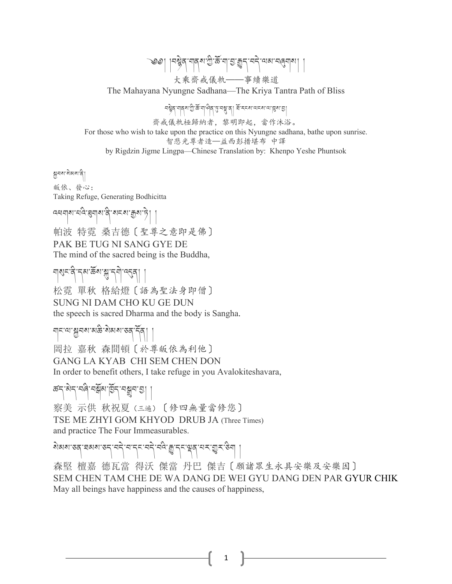্জী । বিষ্টুৰ্'নাৰ্ম'শ্ৰু'ৰ্স্ক' ব্যুক্কুৰ্' নৰ্ন্' অৰ্ম'নৰ্ন্নাৰা 大乘齋戒儀軌——事續樂道

The Mahayana Nyungne Sadhana—The Kriya Tantra Path of Bliss

བསྲེན་གནས་ཀྱི་རΣོ་ག་ལིན་བྱ་བསྱུ་ན་ན་ན། རོ་རངས་ལངས་ལ་།སུས་རྱ།

齋戒儀軌極歸納者,黎明即起,當作沐浴。

For those who wish to take upon the practice on this Nyungne sadhana, bathe upon sunrise. 智悲光尊者造—益西彭措堪布 中譯

by Rigdzin Jigme Lingpa—Chinese Translation by: Khenpo Yeshe Phuntsok

শ্ৰুনৰ্ম'ৰ্মৰ্মম'ন্বী

皈依、發心: Taking Refuge, Generating Bodhicitta

འཕགས་པའི་@གས་ནི་སངས་Aས་ཏེ། །

帕波 特霓 桑吉德〔聖尊之意即是佛〕 PAK BE TUG NI SANG GYE DE The mind of the sacred being is the Buddha,

নাৰ্যুন্দ্ৰী দ্ৰু ক্ৰী ক্ষু দ্ৰু নিৰ্দিত্তৰ ৰা 松霓 單秋 格給燈〔語為聖法身即僧〕 SUNG NI DAM CHO KU GE DUN the speech is sacred Dharma and the body is Sangha.

মান' মাশ্কুমৰা'ৰাজ্য ৰাজ্য' কৰা দিব ।

岡拉 嘉秋 森間頓〔於尊皈依為利他〕 GANG LA KYAB CHI SEM CHEN DON In order to benefit others, I take refuge in you Avalokiteshavara,

ক্ষ্ম অৰ্ণ নম্ব্ৰমাৰ্ছিন্ মন্ত্ৰুমান্তা |

察美 示供 秋祝夏(三遍)〔修四無量當修您〕 TSE ME ZHYI GOM KHYOD DRUB JA (Three Times) and practice The Four Immeasurables.

སེམས་ཅན་ཐམས་ཅད་བདེ་བ་དང་བདེ་བའི་0་དང་Lན་པར་Mར་ཅིག །

森堅 檀嘉 德瓦當 得沃 傑當 丹巴 傑吉〔願諸眾生永具安樂及安樂因〕 SEM CHEN TAM CHE DE WA DANG DE WEI GYU DANG DEN PAR GYUR CHIK May all beings have happiness and the causes of happiness,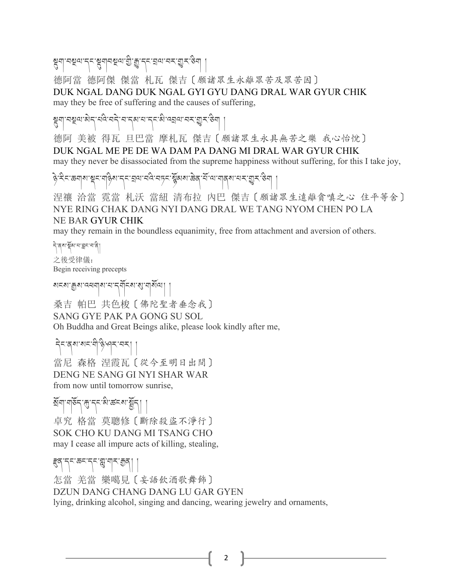8<br>बैर्गर्न्छलन्दर्भवविद्यं गुः पैर्न्ट्र्यलम्य अप्रै

德阿當 德阿傑 傑當 札瓦 傑吉〔願諸眾生永離眾苦及眾苦因〕 DUK NGAL DANG DUK NGAL GYI GYU DANG DRAL WAR GYUR CHIK may they be free of suffering and the causes of suffering,

১। ইন্সাম্প্রিনার্থা বার্টি-বার্টিনি বিভিন্ন বিভিন্ন বিশ্ববিদ্যালয় বিশ্ববিদ্যালয় বিশ্ববিদ্যালয়

德阿 美被 得瓦 旦巴當 摩札瓦 傑吉〔願諸眾生永具無苦之樂 我心怡悅〕 DUK NGAL ME PE DE WA DAM PA DANG MI DRAL WAR GYUR CHIK may they never be disassociated from the supreme happiness without suffering, for this I take joy,

ङ्गे सेन कमारा सन महिरा नन्दा से नगर स्थित अरुवा से सामान राज्य स्थान

涅禳 洽當 霓當 札沃 當紐 清布拉 內巴 傑吉〔願諸眾生遠離貪嗔之心 住平等舍〕 NYE RING CHAK DANG NYI DANG DRAL WE TANG NYOM CHEN PO LA NE BAR GYUR CHIK

may they remain in the boundless equanimity, free from attachment and aversion of others.

ริสุขาชัย มา สุรามสิ 之後受律儀: Begin receiving precepts

<u>য়ৼল শ্ৰিয় বেলবাৰ বাইল্</u>ডিঅ প্ৰিয় বি

桑吉 帕巴 共色梭〔佛陀聖者垂念我〕 SANG GYE PAK PA GONG SU SOL Oh Buddha and Great Beings alike, please look kindly after me,

དེང་ནས་སང་གི་ཉི་ཤར་བར། །

當尼 森格 涅霞瓦〔從今至明日出間〕 DENG NE SANG GI NYI SHAR WAR from now until tomorrow sunrise,

ষ্মনা নাৰ্ছন শ্ৰুণ নাৰ্ছন আৰু বিভি

卓究 格當 莫聰修〔斷除殺盜不淨行〕 SOK CHO KU DANG MI TSANG CHO may I cease all impure acts of killing, stealing,

### Wན་དང་ཆང་དང་X་གར་Aན། །

怎當 羌當 樂噶見〔妄語飲酒歌舞飾〕 DZUN DANG CHANG DANG LU GAR GYEN lying, drinking alcohol, singing and dancing, wearing jewelry and ornaments,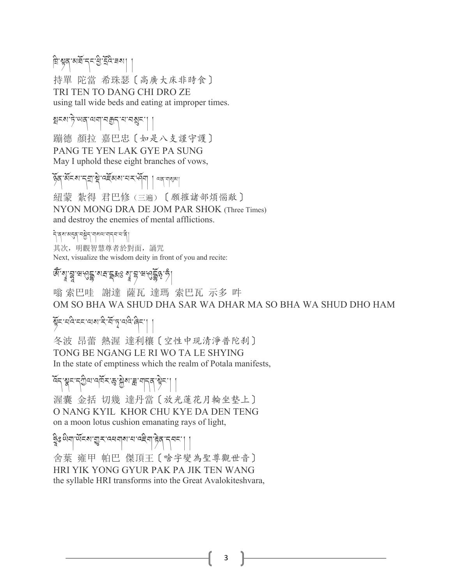## য়ি শ্বন মইন্দই ইই নৰা

持單 陀當 希珠瑟〔高廣大床非時食〕 TRI TEN TO DANG CHI DRO ZE using tall wide beds and eating at improper times.

#### হানমান্টাঅন্'অমা'নক্কন্'ম'নম্ভন'।

蹦德 顏拉 嘉巴忠〔如是八支謹守護〕 PANG TE YEN LAK GYE PA SUNG May I uphold these eight branches of vows,

জৈ অঁনৰ নুমাষ্ট্ৰা বৰ্ষৰ মানৰ বিনাগৰ দিব পৰি

紐蒙 紮得 君巴修(三遍)〔願摧諸部煩惱敵〕 NYON MONG DRA DE JOM PAR SHOK (Three Times) and destroy the enemies of mental afflictions.

དེ་ནས་མEན་བ<ེད་གསལ་གདབ་པ་ནི། 其次, 明觀智慧尊者於對面, 誦咒 Next, visualize the wisdom deity in front of you and recite:

#### <u>ঝু</u> ধ্রী দ্রার্থই বাই বাই বাই বাই বিষ্টা

嗡 索巴哇 謝達 薩瓦 達瑪 索巴瓦 示多 吽 OM SO BHA WA SHUD DHA SAR WA DHAR MA SO BHA WA SHUD DHO HAM

# यून ववे हर बार दे में पृ बवे बेन ।<br>सन्

冬波 昂蕾 熱渥 達利穰〔空性中現清淨普陀刹〕 TONG BE NGANG LE RI WO TA LE SHYING In the state of emptiness which the realm of Potala manifests,

### হ্ন স্কুন ন্ট্ৰিঅ'ৰ্ম্মন স্তু: ষ্ট্ৰুম' ব্ল' মান্ত্ৰ 'ষ্টুন'

渥囊 金括 切幾 達丹當〔放光蓮花月輪坐墊上〕 O NANG KYIL KHOR CHU KYE DA DEN TENG on a moon lotus cushion emanating rays of light,

## ទិঃ लुचौ.लूढा अँडिया अर्थायात्मा अर्थना अर्थन्य ।

舍葉 雍甲 帕巴 傑頂王〔啥字變為聖尊觀世音〕 HRI YIK YONG GYUR PAK PA JIK TEN WANG the syllable HRI transforms into the Great Avalokiteshvara,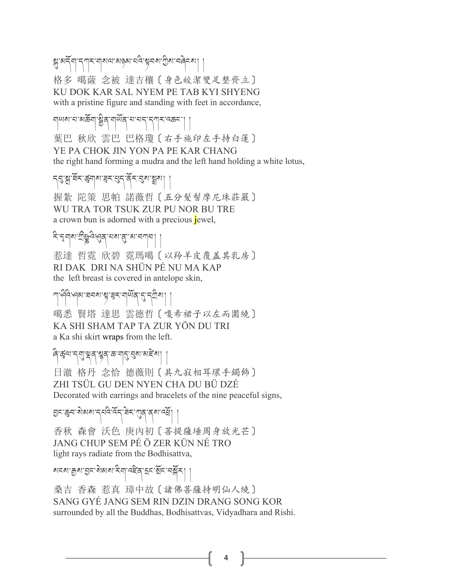স্ত্রামর্দিশান্শান্মানামান্ত্রামান্টিমান্সামান্দিমা 格多 噶薩 念被 達吉穰〔身色皎潔雙足整齊立〕 KU DOK KAR SAL NYEM PE TAB KYI SHYENG with a pristine figure and standing with feet in accordance,

ন্ম মাৰাজ্য বিৰ্ণি আৰু বিৰ্ণিত প্ৰাৰ্থ কৰি 葉巴 秋欣 雲巴 巴格瓊〔右手施印左手持白蓮〕 YE PA CHOK JIN YON PA PE KAR CHANG the right hand forming a mudra and the left hand holding a white lotus,

ন্ন্য:শ্ল'ষঁন:ৰ্দ্ভশাৰ্ম:ৰ্ম্বন'ৰ্বন'কুমা

握紮 陀策 思帕 諾薇哲〔五分髮髻摩尼珠莊嚴〕 WU TRA TOR TSUK ZUR PU NOR BU TRE a crown bun is adorned with a precious jewel,

২ি:২নাম:মুষ্টিদুর্শ্বর্শনম:প্রা.ঘে.ঘেনান|

惹達 哲霓 欣碧 霓瑪噶〔以羚羊皮覆盖其乳房〕 RI DAK DRI NA SHÜN PÉ NU MA KAP the left breast is covered in antelope skin,

সাক্ষিক্ষ ঘনৰ মুদ্ধৰ ব্লাব্দি বিদ্যা

噶悉 賢塔 達思 雲德哲〔嘎希裙子以左而圍繞〕 KA SHI SHAM TAP TA ZUR YÖN DU TRI a Ka shi skirt wraps from the left.

## बिद्धिलान्याञ्चेत् श्रुवारू नार् स्था अहेत्या

日澈 格丹 念恰 德薇則〔具九寂相耳環手鐲飾〕 ZHI TSÜL GU DEN NYEN CHA DU BÜ DZÉ Decorated with earrings and bracelets of the nine peaceful signs,

त्र : क्षेत्र : अब्धान नवे मेन सेन सेन नवे ।

香秋 森會 沃色 庚內初〔菩提薩埵周身放光芒〕 JANG CHUP SEM PÉ Ö ZER KÜN NÉ TRO light rays radiate from the Bodhisattva,

থ্যস্থিত প্ৰাণ্ড স্থায় বিভিন্ন বিদ্যালয় ।

桑吉 香森 惹真 璋中故〔諸佛菩薩持明仙人繞〕 SANG GYÉ JANG SEM RIN DZIN DRANG SONG KOR surrounded by all the Buddhas, Bodhisattvas, Vidyadhara and Rishi.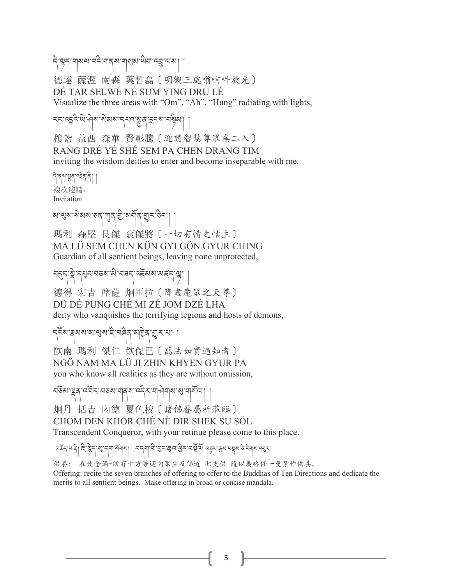དེ་çར་གསལ་བའི་གནས་གCམ་ཡིག་འé་ལས། ། 德達 薩渥 南森 葉哲磊〔明觀三處嗡啊吽放光〕 DÉ TAR SELWÉ NÉ SUM YING DRU LÉ Visualize the three areas with "Om", "Ah", "Hung" radiating with lights,

རང་འ\འི་ཡེ་ཤེས་སེམས་དཔའ་Vན་\ངས་བZིམ། །

穰紮 益西 森華 賢彰騰〔迎請智慧尊眾無二入〕 RANG DRÉ YÉ SHÉ SEM PA CHEN DRANG TIM inviting the wisdom deities to enter and become inseparable with me.

নিৰ্মায়ুন্দ্ৰিন নী 複次迎請: Invitation

খাত্ত্বৰাজ্যখনাত্ত্বাপূৰ্বাস্ত্ৰীজনীৰ্বাস্থী $\mathcal{L}[\mathcal{S}^{\infty}]$ 

瑪利 森堅 艮傑 袞傑將〔一切有情之怙主〕 MA LÜ SEM CHEN KÜN GYI GÖN GYUR CHING Guardian of all sentient beings, leaving none unprotected,

ㅋธุรุ สิรธุรรมธุรุ สิรธุรกุ ครัสเมตร์ (สิ

德得 宏吉 摩薩 炯匝拉〔降盡魔眾之天尊〕 DÜ DÉ PUNG CHÉ MI ZÉ JOM DZÉ LHA deity who vanquishes the terrifying legions and hosts of demons,

८६४: क्षेत्राया:बेय:हं:चढ़ेव:बोड़ेव:बीर:चो

歐南 瑪利 傑仁 欽傑巴〔萬法如實遍知者〕 NGÖ NAM MA LÜ JI ZHIN KHYEN GYUR PA you who know all realities as they are without omission,

নৰ্ডৰ শ্ৰুষ্ অৰ্মি নৰ্ডৰ নাৰ্ছ আৰু বিৰোধী ৰাজ্য প্ৰাৰ্থি ।

炯丹 括吉 內德 夏色梭〔諸佛眷屬祈蒞臨〕 CHOM DEN KHOR CHÉ NÉ DIR SHEK SU SÖL Transcendent Conqueror, with your retinue please come to this place.

अक्र्ट्न्'न'वे| हे श्लेन्'श्रु'न्'बान्गा अन्नगामो छन् छन'युन् नर्थेवा अङ्ग्ण क्रूथ वर्ष्याक्ष्य कर्मात्रा नवाय

供養: 在此念诵-所有十方等迴向眾生及佛道 七支供 隨以廣略任一曼紮作供養。 Offering: recite the seven branches of offering to offer to the Buddhas of Ten Directions and dedicate the merits to all sentient beings. Make offering in broad or concise mandala.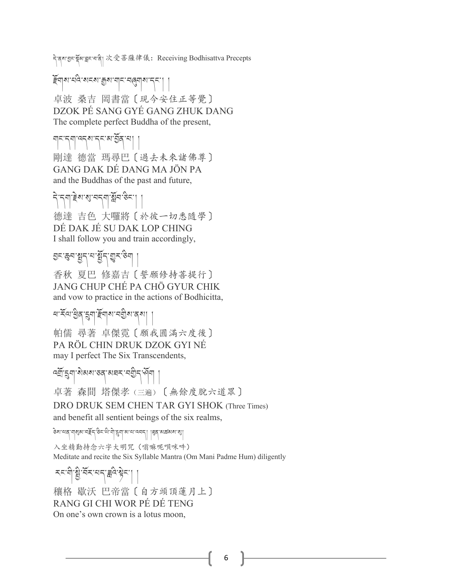う៝<sub>゚</sub> बुबाझर स्वादे के अन्य स्वादे स्वादे स्वादे स्वादे स्वादे स्वादे स्वादे स्वादे स्वादे स्वादे स्वादे स्वाद<br>स्वादे स्वादे स्वादे स्वादे स्वादे स्वादे स्वादे स्वादे स्वादे स्वादे स्वादे स्वादे स्वादे स्वादे स्वादे स्वा

îོགས་པའི་སངས་Aས་གང་བ4གས་དང་། །

卓波 桑吉 岡書當〔現今安住正等覺〕 DZOK PÉ SANG GYÉ GANG ZHUK DANG The complete perfect Buddha of the present,

གང་དག་འདས་དང་མ་/ོན་པ། ། 剛達 德當 瑪尋巴〔過去未來諸佛尊〕 GANG DAK DÉ DANG MA JÖN PA and the Buddhas of the past and future,

ริสุราชิ ริมา (สิ้น 35 德達 吉色 大囉將〔於彼一切悉隨學〕 DÉ DAK JÉ SU DAK LOP CHING I shall follow you and train accordingly,

হন:স্কুন:ম্বুন:মুন্মুন:উশ্

香秋 夏巴 修嘉吉〔誓願修持菩提行〕 JANG CHUP CHÉ PA CHÖ GYUR CHIK and vow to practice in the actions of Bodhicitta,

খ'ৰ্ইঅ'ষ্ট্ৰব্দ্ব্ৰশ্ব ইম্বাৰ্জী |

帕儒 尋著 卓傑霓〔願我圓滿六度後〕 PA RÖL CHIN DRUK DZOK GYI NÉ may I perfect The Six Transcendents,

ক্স্ক্রিশ্রাষ্ণ স্বার্জ্ব বিদ্রা ।

卓著 森間 塔傑孝(三遍)〔無餘度脫六道眾〕

DRO DRUK SEM CHEN TAR GYI SHOK (Three Times)

and benefit all sentient beings of the six realms,

ङ्गालार् सारीया सङ्केर्ट्- (अरुक्तान्) हेर्या जात्मन्) | हेर्बर अख्लाका की

入坐精勤持念六字大明咒(嗡嘛呢唄咪吽) Meditate and recite the Six Syllable Mantra (Om Mani Padme Hum) diligently

རང་གི་སྲི་རོར་པད་རྒིའ་སྐིང་།

穰格 歇沃 巴帝當〔自方頭頂蓮月上〕 RANG GI CHI WOR PÉ DÉ TENG On one's own crown is a lotus moon,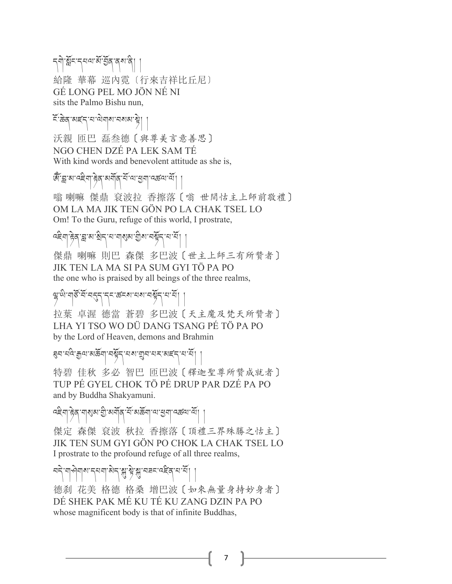รุฑิ สัร รุยม สัชธุ สุมสิ 給隆 華幕 巡內霓〔行來吉祥比丘尼〕 GÉ LONG PEL MO JÖN NÉ NI sits the Palmo Bishu nun,

হিক্কিন্স মহন মাত্ৰী ৰাজ্য নামৰ পৰী 沃親 匝巴 磊叁德〔與尊美言意善思〕 NGO CHEN DZÉ PA LEK SAM TÉ With kind words and benevolent attitude as she is,

জিল্লে আৰু সিংস্কাৰ সমূহ বিদ্যালী আৰু সিংস্কাৰ দি

嗡 喇嘛 傑鼎 袞波拉 香擦落〔嗡 世間怙主上師前敬禮〕 OM LA MA JIK TEN GÖN PO LA CHAK TSEL LO Om! To the Guru, refuge of this world, I prostrate,

# $|\hat{\beta}$ व्'क्ष'ब्ग'श्रे $\gamma$ 'म'बाबुब्ग'बेर्बन्'म'में $|$

傑鼎 喇嘛 則巴 森傑 多巴波〔世主上師三有所贊者〕 JIK TEN LA MA SI PA SUM GYI TÖ PA PO the one who is praised by all beings of the three realms,

# ซุซิเซิเซอิรัย อร์ราราชราช อร์ราราร์

拉葉 卓渥 德當 蒼碧 多巴波〔天主魔及梵天所贊者〕 LHA YI TSO WO DÜ DANG TSANG PÉ TÖ PA PO by the Lord of Heaven, demons and Brahmin

# ৰ্বন ঘণ্ড শ্ৰীৰ অৰু ঘণ্ট বিখ্যা শ্ৰীৰ ঘন কৰি দি <u>মু</u>

特碧 佳秋 多必 智巴 匝巴波〔釋迦聖尊所贊成就者〕 TUP PÉ GYEL CHOK TÖ PÉ DRUP PAR DZÉ PA PO and by Buddha Shakyamuni.

વદ્દેવા हेन् শাৰ্মৰ শ্ৰী ৰামীৰ শিৰাজী আৰু বিশিষ্ট বিশিষ্ট বি

傑定 森傑 袞波 秋拉 香擦落〔頂禮三界殊勝之怙主〕 JIK TEN SUM GYI GÖN PO CHOK LA CHAK TSEL LO I prostrate to the profound refuge of all three realms,

ㅋฺने ग] लेग|अ'न्यन|अन्] अन्धिका अन्य करने

德刹 花美 格德 格桑 增巴波〔如來無量身持妙身者〕 DÉ SHEK PAK MÉ KU TÉ KU ZANG DZIN PA PO whose magnificent body is that of infinite Buddhas,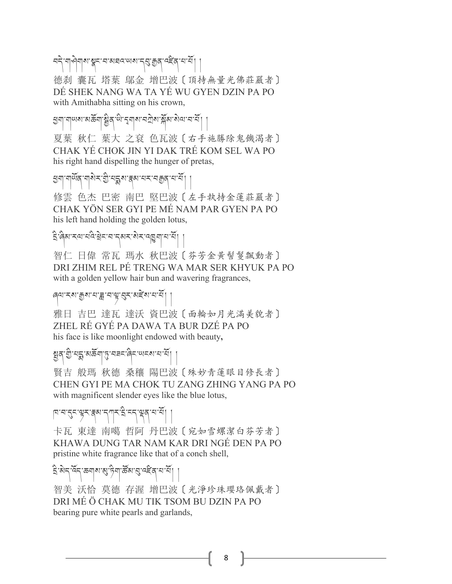ㅋธุ์ ๆ จุตุ ๆ สุราย สุราย สุราย จุตุ จุตุ จุตุ จุตุ จุตุ

德刹 囊瓦 塔葉 鄔金 增巴波〔頂持無量光佛莊嚴者〕 DÉ SHEK NANG WA TA YÉ WU GYEN DZIN PA PO with Amithabha sitting on his crown,

শ্রনা নালিখে প্রভূত্রা ষ্ট্রিন্দু, দুর্বার্থ শ্রেষ্ট ব্যক্স মুখ্য প্রত্য শ্রন্থ।

夏葉 秋仁 葉大 之袞 色瓦波〔右手施勝除鬼饑渴者〕 CHAK YÉ CHOK JIN YI DAK TRÉ KOM SEL WA PO his right hand dispelling the hunger of pretas,

ব্রুনা নার্মব নারী নতুনা স্থা স্থল নার নারী।

修雲 色杰 巴密 南巴 堅巴波〔左手執持金蓮莊嚴者〕 CHAK YÖN SER GYI PE MÉ NAM PAR GYEN PA PO his left hand holding the golden lotus,

## \ི་ཞིམ་རལ་པའི་ãེང་བ་དམར་སེར་འúག་པ་པོ། །

智仁 日偉 常瓦 瑪水 秋巴波〔芬芳金黃髻鬘飄動者〕 DRI ZHIM REL PÉ TRENG WA MAR SER KHYUK PA PO with a golden yellow hair bun and wavering fragrances,

#### ৰ্ণমেখ্য ক্ৰুমানা ব্ৰানাম্ব্য প্ৰকাষ্ট্ৰ খানা মুখি

雅日 吉巴 達瓦 達沃 資巴波〔面輪如月光滿美貌者〕 ZHEL RÉ GYÉ PA DAWA TA BUR DZÉ PA PO his face is like moonlight endowed with beauty**,**

# $\left[\frac{1}{2} \sum_{i=1}^N \mathcal{N}(i) - \mathcal{N}(i)\right]$

賢吉 般瑪 秋德 桑穰 陽巴波〔殊妙青蓮眼目修長者〕 CHEN GYI PE MA CHOK TU ZANG ZHING YANG PA PO with magnificent slender eyes like the blue lotus,

#### षिःचः दुनः बुनः क्षयः नगनः देः न्तः बुवः चः में ।

卡瓦 東達 南噶 哲阿 丹巴波〔宛如雪螺潔白芬芳者〕 KHAWA DUNG TAR NAM KAR DRI NGÉ DEN PA PO pristine white fragrance like that of a conch shell,

#### $\mathbb{E}$ 'ষ্টান্'ৰ্মন্'জনাৰ্থ'ট্ৰাম্'ৰ্জিম'ৰ্'ৰ্ম্ছিন্'ন'ৰ্মী ।

智美 沃恰 莫德 存渥 增巴波〔光淨珍珠瓔珞佩戴者〕 DRI MÉ Ö CHAK MU TIK TSOM BU DZIN PA PO bearing pure white pearls and garlands,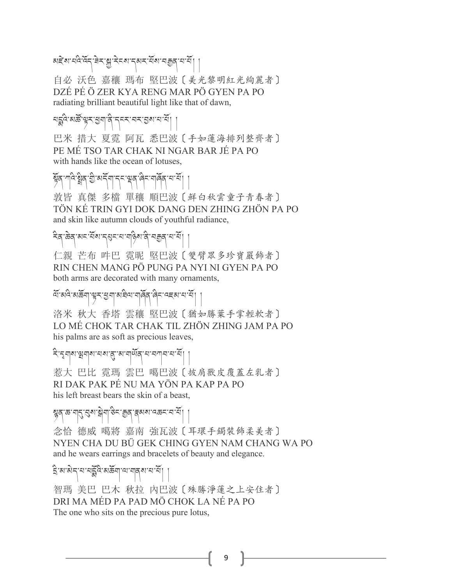མརེར་པའི་འོད་རེར་སྱ་རེངས་དམར་པོས་བརྱུན་པ་པོ།

自必 沃色 嘉穰 瑪布 堅巴波〔美光黎明紅光絢麗者〕 DZÉ PÉ Ö ZER KYA RENG MAR PÖ GYEN PA PO radiating brilliant beautiful light like that of dawn,

#### པõའི་མཚô་çར་[ག་ནི་དངར་བར་/ས་པ་པོ། །

巴米 措大 夏霓 阿瓦 悉巴波〔手如蓮海排列整齊者〕 PE MÉ TSO TAR CHAK NI NGAR BAR JÉ PA PO with hands like the ocean of lotuses,

# দदे:ষ্ট্ৰব'শ্ৰী:অৰ্হ্মদহে-ভ্ৰেব'ৰ্বিং'নাৰ্ব্বি'ন'ৰ্ম।

敦皆 真傑 多檔 單穰 順巴波〔鮮白秋雲童子青春者〕 TÖN KÉ TRIN GYI DOK DANG DEN ZHING ZHÖN PA PO and skin like autumn clouds of youthful radiance,

## देव केव बाद सेंबाद्धर मार्गदेख वे नक्कुबार सें।

仁親 芒布 吽巴 霓昵 堅巴波〔雙臂眾多珍寶嚴飾者〕 RIN CHEN MANG PÖ PUNG PA NYI NI GYEN PA PO both arms are decorated with many ornaments,

# َ ﴿ अर्थिया अर्थवा अर्थवा अर्थित के स्वाद्य स्था।

洛米 秋大 香塔 雲穰 堅巴波〔猶如勝葉手掌輕軟者〕 LO MÉ CHOK TAR CHAK TIL ZHÖN ZHING JAM PA PO his palms are as soft as precious leaves,

#### ২ি:মৃন্মণপ্ৰমাৰাম্যজ্যমান্ট্ৰিমানসানমী

惹大 巴比 霓瑪 雲巴 噶巴波〔披肩獸皮覆蓋左乳者〕 RI DAK PAK PÉ NU MA YÖN PA KAP PA PO his left breast bears the skin of a beast,

#### শ্বৰ্ষ ক'নান্,'ব্ৰৰ্ম'ষ্ট্ৰনা'উন'ক্কুৰ্'ক্নমৰ্মানক্ৰন'ন'ৰ্শী

念恰 德威 噶將 嘉南 強瓦波〔耳環手鐲裝飾柔美者〕 NYEN CHA DU BÜ GEK CHING GYEN NAM CHANG WA PO and he wears earrings and bracelets of beauty and elegance.

### $\mathbf{\hat{S}}$ សេ $\mathbf{\hat{s}}$ ក្រុង អង្គក៏ន្ទ្រាទ្រង់នៅ $\mathbf{\hat{s}}$

智瑪 美巴 巴木 秋拉 內巴波〔殊勝淨蓮之上安住者〕 DRI MA MÉD PA PAD MÖ CHOK LA NÉ PA PO The one who sits on the precious pure lotus,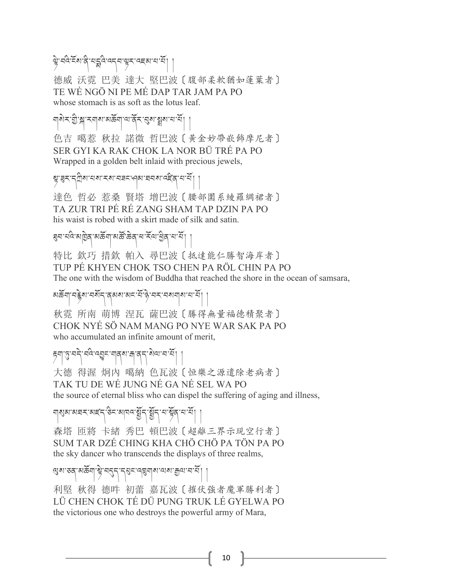स्ते देश है मुद्दे व्ह्वास्थर व्हब्य सभि

德威 沃霓 巴美 達大 堅巴波〔腹部柔軟猶如蓮葉者〕 TE WÉ NGÖ NI PE MÉ DAP TAR JAM PA PO whose stomach is as soft as the lotus leaf.

নাৰীৰ স্ত্ৰীস ৰাজ্যজন্ম আৰ্ট্ ৰ প্ৰশাসনী

色吉 噶惹 秋拉 諾微 哲巴波〔黃金妙帶嵌飾摩尼者〕 SER GYI KA RAK CHOK LA NOR BÜ TRÉ PA PO Wrapped in a golden belt inlaid with precious jewels,

শ্বাৰ্হন নৃত্ৰীৰ নেৰাৰ্হৰ নেহাৰ নেহাৰ বিদ্ৰোপী

達色 哲必 惹桑 賢塔 增巴波〔腰部圍系綾羅綢裙者〕 TA ZUR TRI PÉ RÉ ZANG SHAM TAP DZIN PA PO his waist is robed with a skirt made of silk and satin.

#### ৰ্ঘন ঘৰ মাট্টৰ মৰ্ছনা মৰ্জ ক্ৰব ঘাইন খ্ৰিৰ ঘাই।

特比 欽巧 措欽 帕入 尋巴波〔抵達能仁勝智海岸者〕 TUP PÉ KHYEN CHOK TSO CHEN PA RÖL CHIN PA PO The one with the wisdom of Buddha that reached the shore in the ocean of samsara,

# མརོནོག་བརྲིས་བརོད་ནམས་མང་རོ་ལེ་བར་བསགས་བ་རོ།

秋霓 所南 萌博 涅瓦 薩巴波〔勝得無量福德積聚者〕 CHOK NYÉ SÖ NAM MANG PO NYE WAR SAK PA PO who accumulated an infinite amount of merit,

# हेर्या १३. यद्गे चर्युद्धा यावार्या मन्त्री अव्याचार्ये ।

大德 得渥 炯內 噶納 色瓦波〔恒樂之源遣除老病者〕 TAK TU DE WÉ JUNG NÉ GA NÉ SEL WA PO the source of eternal bliss who can dispel the suffering of aging and illness,

নাম্বৰ বেছি কুমুৰ বিভিন্ন প্ৰতি বিভিন্ন প্ৰতি কৰি

森塔 匝將 卡緒 秀巴 頓巴波〔超離三界示現空行者〕 SUM TAR DZÉ CHING KHA CHÖ CHÖ PA TÖN PA PO the sky dancer who transcends the displays of three realms,

শ্বেম্ব্তে অৰ্ক্ট মন্ত্ৰ বিহন বিদ্ৰাৰ অৰ্থ শ্ৰুত নম্

利堅 秋得 德吽 初蕾 嘉瓦波〔摧伏強者魔軍勝利者〕 LÜ CHEN CHOK TÉ DÜ PUNG TRUK LÉ GYELWA PO the victorious one who destroys the powerful army of Mara,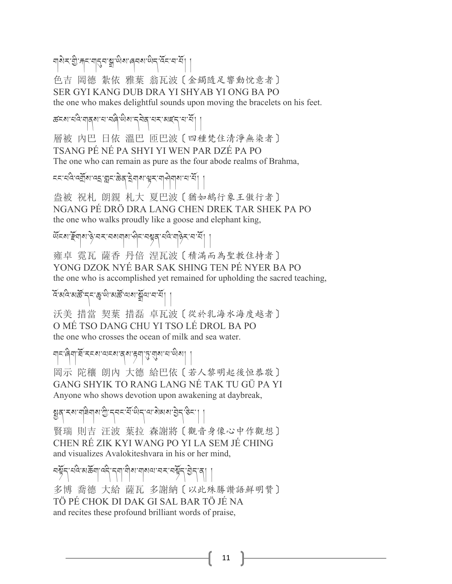নাৰীৰ ভ্ৰী কৰা নাইৰ স্ক্ৰী লুৱাৰ আৰু বিদ্যালয় ৷

色吉 岡德 紮依 雅葉 翁瓦波〔金鐲隨足響動悅意者〕 SER GYI KANG DUB DRA YI SHYAB YI ONG BA PO the one who makes delightful sounds upon moving the bracelets on his feet.

ཚངས་པའི་གནས་པ་བཞི་ཡིས་དབེན་པར་མཛད་པ་པོ། །

層被 內巴 日依 溫巴 匝巴波〔四種梵住清淨無染者〕 TSANG PÉ NÉ PA SHYI YI WEN PAR DZÉ PA PO The one who can remain as pure as the four abode realms of Brahma,

८८ ६ देख्यू रूप्य २ वर्ष है। इस्लिके कार्य प्रदेश है।

盎被 祝札 朗親 札大 夏巴波〔猶如鵝行象王傲行者〕 NGANG PÉ DRÖ DRA LANG CHEN DREK TAR SHEK PA PO the one who walks proudly like a goose and elephant king,

थॅहरू हेलु अर्थु स्वरूपया अर्थन स्वरूप से अर्थिक स्वर्धे ।

雍卓 霓瓦 薩香 丹倍 涅瓦波〔積滿而為聖教住持者〕 YONG DZOK NYÉ BAR SAK SHING TEN PÉ NYER BA PO the one who is accomplished yet remained for upholding the sacred teaching,

 $\left| \widetilde{A}^\dagger$ মবি'মস্ক্রি'ন্'ম্' মুখি'মার্মী $\left| \widetilde{A}^\dagger \right|$ 

沃美 措當 契葉 措磊 卓瓦波〔從於乳海水海度越者〕 O MÉ TSO DANG CHU YI TSO LÉ DROL BA PO the one who crosses the ocean of milk and sea water.

གང་ཞིག་ཐོ་རངས་ལངས་ནས་yག་6་áས་པ་ཡིས། །

岡示 陀穰 朗內 大德 給巴依〔若人黎明起後恒恭敬〕 GANG SHYIK TO RANG LANG NÉ TAK TU GÜ PA YI Anyone who shows devotion upon awakening at daybreak,

ह्युव रूष गविगुष्ण गुन्न्द संखेन या सेबस हेन् छेन्।<br>पु

賢瑞 則吉 汪波 葉拉 森謝將〔觀音身像心中作觀想〕 CHEN RÉ ZIK KYI WANG PO YI LA SEM JÉ CHING and visualizes Avalokiteshvara in his or her mind,

كَلَّاحُ جَاجَةِ الْكَلَّامُ الْكَلَّامُ الْكَلَّامُ الْكَلَامُ الْكَلَامُ الْكَلَامُ الْكَلَامُ الْ

多博 喬德 大給 薩瓦 多謝納〔以此殊勝讚語鮮明贊〕 TÖ PÉ CHOK DI DAK GI SAL BAR TÖ JÉ NA and recites these profound brilliant words of praise,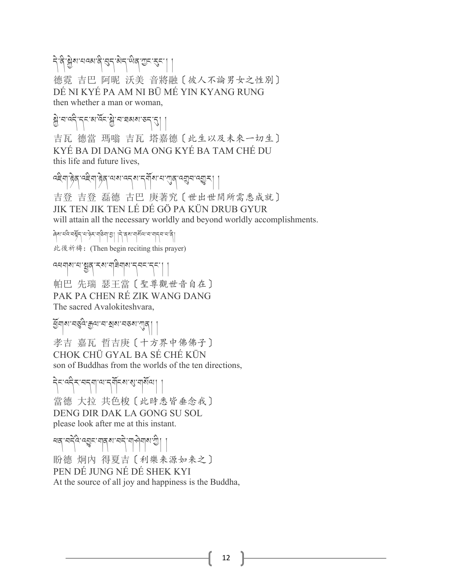55.5% के अध्ययक्ष के से बार में बे से अपने से हैं 德霓 吉巴 阿昵 沃美 音將融〔彼人不論男女之性別〕 DÉ NI KYÉ PA AM NI BÜ MÉ YIN KYANG RUNG then whether a man or woman,

# ลิ : สาร์ : สาร์ : สาร์ : สาร์ สาร์ |

吉瓦 德當 瑪嗡 吉瓦 塔嘉德〔此生以及未來一切生〕 KYÉ BA DI DANG MA ONG KYÉ BA TAM CHÉ DU this life and future lives,

द्देवा हेव दद्देवा हेव लब दर्दयान् ग्रॅंबाच लंबीच उच्चै र 吉登 吉登 磊德 古巴 庚著究〔世出世間所需悉成就〕 JIK TEN JIK TEN LÉ DÉ GÖ PA KÜN DRUB GYUR will attain all the necessary worldly and beyond worldly accomplishments.

ཞེས་པའི་བZོད་པ་ཉེར་གཅིག་/། །དེ་ནས་གསོལ་བ་གདབ་པ་ནི། 此後祈禱:(Then begin reciting this prayer)

འཕགས་པ་Vན་རས་གཟིགས་དབང་དང་། ། 帕巴 先瑞 瑟王當〔聖尊觀世音自在〕 PAK PA CHEN RÉ ZIK WANG DANG The sacred Avalokiteshvara,

तें योग्रामण्डेत्र: सेला चार्या संकार सेवी 孝吉 嘉瓦 哲吉庚〔十方界中佛佛子〕 CHOK CHÜ GYAL BA SÉ CHÉ KÜN son of Buddhas from the worlds of the ten directions,

ริราสริรายรุขายารุยัธิมา | 當德 大拉 共色梭〔此時悉皆垂念我〕 DENG DIR DAK LA GONG SU SOL please look after me at this instant.

ৰ্শনন্দ্ৰী ৰাজ্য নাৰী আৰু দু 盼德 炯內 得夏吉〔利樂来源如来之〕 PEN DÉ JUNG NÉ DÉ SHEK KYI At the source of all joy and happiness is the Buddha,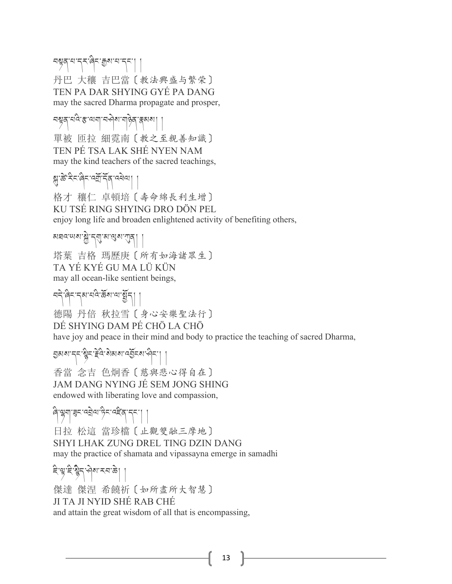#### อยู่สุ ยารุ่ม : สุด ยารุ่ม 丹巴 大穰 吉巴當〔教法興盛与繁荣〕 TEN PA DAR SHYING GYÉ PA DANG may the sacred Dharma propagate and prosper,

নম্বন্দ্ৰাৰাজ্য নক্ষ্ম নৰ্ত্তি কৰা ৷ 單被 匝拉 細霓南〔教之至親善知識〕 TEN PÉ TSA LAK SHÉ NYEN NAM may the kind teachers of the sacred teachings,

# सुर्के देन बेन वर्षे में दि वर्षे था।

格才 穰仁 卓頓培〔壽命綿長利生增〕 KU TSÉ RING SHYING DRO DÖN PEL enjoy long life and broaden enlightened activity of benefiting others,

<u>য়য়ড়৻য়য়৻ৼঀৗৼ৻৻</u>ঀ৸ড়য়৻য়৾ 塔葉 吉格 瑪歷庚〔所有如海諸眾生〕 TA YÉ KYÉ GU MA LÜ KÜN may all ocean-like sentient beings,

བདེ་ཞིང་དམ་པའི་ཆོས་ལ་Vོད། ། 德陽 丹倍 秋拉雪〔身心安樂聖法行〕 DÉ SHYING DAM PÉ CHÖ LA CHÖ have joy and peace in their mind and body to practice the teaching of sacred Dharma,

अथान्त्र क्षेत्र हेत्र शेवाया वर्द्धेन्या पुन्न

香當 念吉 色炯香〔慈與悲心得自在〕 JAM DANG NYING JÉ SEM JONG SHING endowed with liberating love and compassion,

ཞི་ëག་ང་འPེལ་ཏིང་འཛ]ན་དང་། ། 日拉 松這 當珍檔〔止觀雙融三摩地〕 SHYI LHAK ZUNG DREL TING DZIN DANG may the practice of shamata and vipassayna emerge in samadhi

# है भूदे भूद भोषा रुपा के।

傑達 傑涅 希饒祈〔如所盡所大智慧〕 JI TA JI NYID SHÉ RAB CHÉ and attain the great wisdom of all that is encompassing,